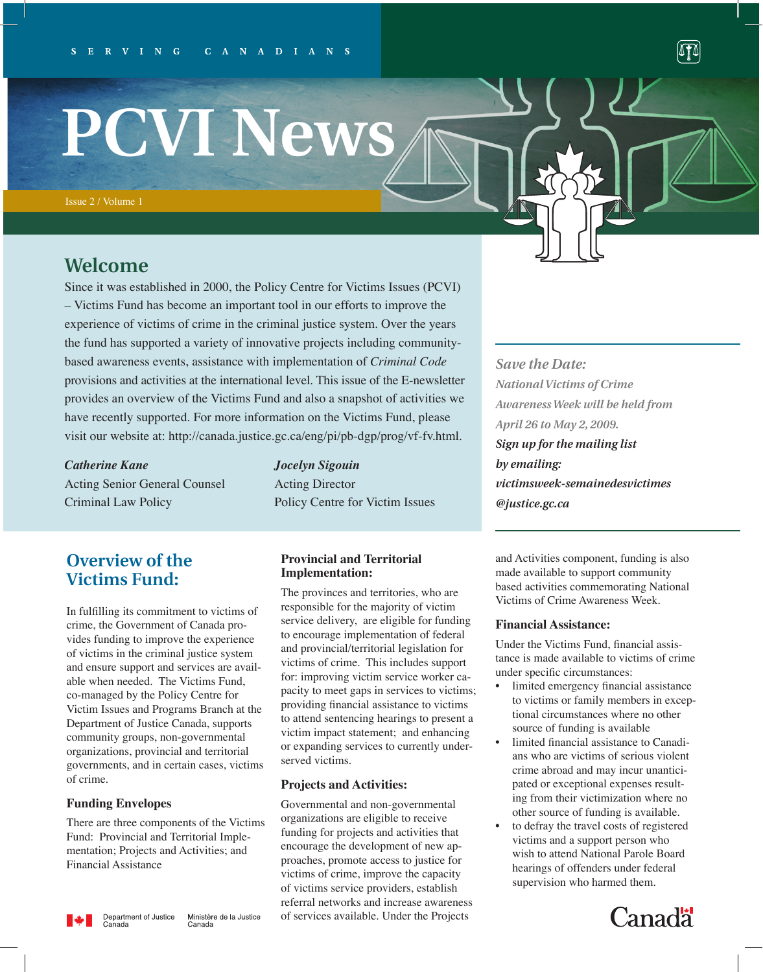# **PCVI News**

## **Welcome**

Since it was established in 2000, the Policy Centre for Victims Issues (PCVI) – Victims Fund has become an important tool in our efforts to improve the experience of victims of crime in the criminal justice system. Over the years the fund has supported a variety of innovative projects including communitybased awareness events, assistance with implementation of *Criminal Code*  provisions and activities at the international level. This issue of the E-newsletter provides an overview of the Victims Fund and also a snapshot of activities we have recently supported. For more information on the Victims Fund, please visit our website at: http://canada.justice.gc.ca/eng/pi/pb-dgp/prog/vf-fv.html.

*Catherine Kane Jocelyn Sigouin* Acting Senior General Counsel Acting Director Criminal Law Policy Policy Centre for Victim Issues

## **Overview of the Victims Fund:**

In fulfilling its commitment to victims of crime, the Government of Canada provides funding to improve the experience of victims in the criminal justice system and ensure support and services are available when needed. The Victims Fund, co-managed by the Policy Centre for Victim Issues and Programs Branch at the Department of Justice Canada, supports community groups, non-governmental organizations, provincial and territorial governments, and in certain cases, victims of crime.

#### **Funding Envelopes**

There are three components of the Victims Fund: Provincial and Territorial Implementation; Projects and Activities; and Financial Assistance

#### **Provincial and Territorial Implementation:**

The provinces and territories, who are responsible for the majority of victim service delivery, are eligible for funding to encourage implementation of federal and provincial/territorial legislation for victims of crime. This includes support for: improving victim service worker capacity to meet gaps in services to victims; providing financial assistance to victims to attend sentencing hearings to present a victim impact statement; and enhancing or expanding services to currently underserved victims.

#### **Projects and Activities:**

Governmental and non-governmental organizations are eligible to receive funding for projects and activities that encourage the development of new approaches, promote access to justice for victims of crime, improve the capacity of victims service providers, establish referral networks and increase awareness of services available. Under the Projects

*Save the Date: National Victims of Crime Awareness Week will be held from April 26 to May 2, 2009.* 

M

*Sign up for the mailing list by emailing: victimsweek-semainedesvictimes @justice.gc.ca* 

and Activities component, funding is also made available to support community based activities commemorating National Victims of Crime Awareness Week.

#### **Financial Assistance:**

Under the Victims Fund, financial assistance is made available to victims of crime under specific circumstances:

- limited emergency financial assistance to victims or family members in exceptional circumstances where no other source of funding is available
- limited financial assistance to Canadians who are victims of serious violent crime abroad and may incur unanticipated or exceptional expenses resulting from their victimization where no other source of funding is available.
- to defray the travel costs of registered victims and a support person who wish to attend National Parole Board hearings of offenders under federal supervision who harmed them.